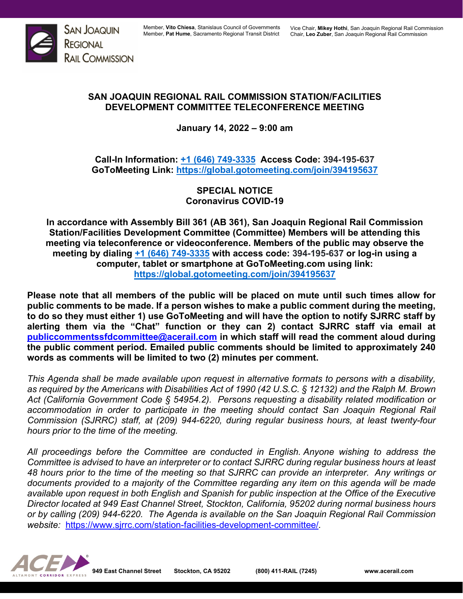

## **SAN JOAQUIN REGIONAL RAIL COMMISSION STATION/FACILITIES DEVELOPMENT COMMITTEE TELECONFERENCE MEETING**

**January 14, 2022 – 9:00 am**

**Call-In Information: [+1 \(646\) 749-3335](tel:+16467493335,,810666973) Access Code: 394-195-637 GoToMeeting Link:<https://global.gotomeeting.com/join/394195637>**

> **SPECIAL NOTICE Coronavirus COVID-19**

**In accordance with Assembly Bill 361 (AB 361), San Joaquin Regional Rail Commission Station/Facilities Development Committee (Committee) Members will be attending this meeting via teleconference or videoconference. Members of the public may observe the meeting by dialing [+1 \(646\) 749-3335](tel:+16467493335,,810666973) with access code: 394-195-637 or log-in using a computer, tablet or smartphone at GoToMeeting.com using link: <https://global.gotomeeting.com/join/394195637>**

**Please note that all members of the public will be placed on mute until such times allow for public comments to be made. If a person wishes to make a public comment during the meeting, to do so they must either 1) use GoToMeeting and will have the option to notify SJRRC staff by alerting them via the "Chat" function or they can 2) contact SJRRC staff via email at [publiccommentssfdcommittee@acerail.com](mailto:publiccommentssfdcommittee@acerail.com) in which staff will read the comment aloud during the public comment period. Emailed public comments should be limited to approximately 240 words as comments will be limited to two (2) minutes per comment.**

*This Agenda shall be made available upon request in alternative formats to persons with a disability, as required by the Americans with Disabilities Act of 1990 (42 U.S.C. § 12132) and the Ralph M. Brown Act (California Government Code § 54954.2). Persons requesting a disability related modification or accommodation in order to participate in the meeting should contact San Joaquin Regional Rail Commission (SJRRC) staff, at (209) 944-6220, during regular business hours, at least twenty-four hours prior to the time of the meeting.*

*All proceedings before the Committee are conducted in English. Anyone wishing to address the Committee is advised to have an interpreter or to contact SJRRC during regular business hours at least 48 hours prior to the time of the meeting so that SJRRC can provide an interpreter. Any writings or documents provided to a majority of the Committee regarding any item on this agenda will be made available upon request in both English and Spanish for public inspection at the Office of the Executive Director located at 949 East Channel Street, Stockton, California, 95202 during normal business hours or by calling (209) 944-6220. The Agenda is available on the San Joaquin Regional Rail Commission website:* <https://www.sjrrc.com/station-facilities-development-committee/>*.*

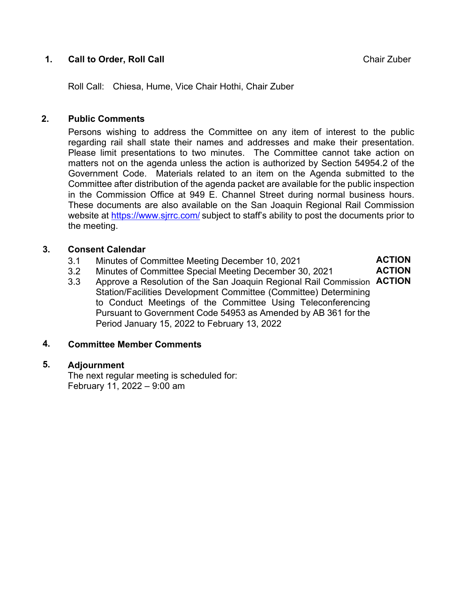## **1. Call to Order, Roll Call** Call **Chair Zuber** Chair Zuber

**ACTION ACTION**

Roll Call: Chiesa, Hume, Vice Chair Hothi, Chair Zuber

### **2. Public Comments**

Persons wishing to address the Committee on any item of interest to the public regarding rail shall state their names and addresses and make their presentation. Please limit presentations to two minutes. The Committee cannot take action on matters not on the agenda unless the action is authorized by Section 54954.2 of the Government Code. Materials related to an item on the Agenda submitted to the Committee after distribution of the agenda packet are available for the public inspection in the Commission Office at 949 E. Channel Street during normal business hours. These documents are also available on the San Joaquin Regional Rail Commission website at<https://www.sjrrc.com/> subject to staff's ability to post the documents prior to the meeting.

### **3. Consent Calendar**

- 3.1 Minutes of Committee Meeting December 10, 2021
- 3.2 Minutes of Committee Special Meeting December 30, 2021
- 3.3 Approve a Resolution of the San Joaquin Regional Rail Commission **ACTION**Station/Facilities Development Committee (Committee) Determining to Conduct Meetings of the Committee Using Teleconferencing Pursuant to Government Code 54953 as Amended by AB 361 for the Period January 15, 2022 to February 13, 2022

### **4. Committee Member Comments**

### **5. Adjournment**

The next regular meeting is scheduled for: February 11, 2022 – 9:00 am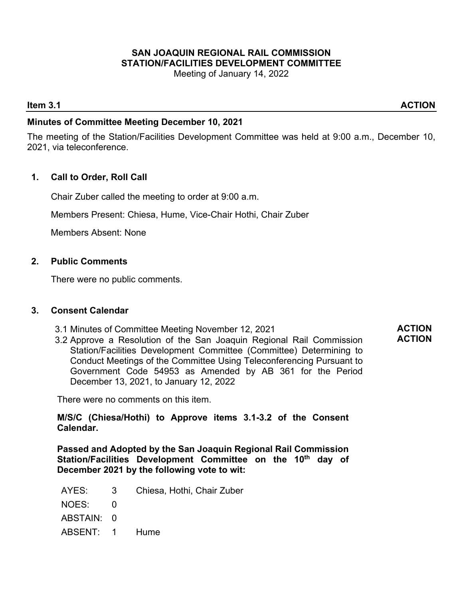## **SAN JOAQUIN REGIONAL RAIL COMMISSION STATION/FACILITIES DEVELOPMENT COMMITTEE**

Meeting of January 14, 2022

### **Item 3.1** ACTION

### **Minutes of Committee Meeting December 10, 2021**

The meeting of the Station/Facilities Development Committee was held at 9:00 a.m., December 10, 2021, via teleconference.

### **1. Call to Order, Roll Call**

Chair Zuber called the meeting to order at 9:00 a.m.

Members Present: Chiesa, Hume, Vice-Chair Hothi, Chair Zuber

Members Absent: None

### **2. Public Comments**

There were no public comments.

### **3. Consent Calendar**

- 3.1 Minutes of Committee Meeting November 12, 2021
- 3.2 Approve a Resolution of the San Joaquin Regional Rail Commission Station/Facilities Development Committee (Committee) Determining to Conduct Meetings of the Committee Using Teleconferencing Pursuant to Government Code 54953 as Amended by AB 361 for the Period December 13, 2021, to January 12, 2022

There were no comments on this item.

**M/S/C (Chiesa/Hothi) to Approve items 3.1-3.2 of the Consent Calendar.** 

**Passed and Adopted by the San Joaquin Regional Rail Commission Station/Facilities Development Committee on the 10th day of December 2021 by the following vote to wit:**

- AYES: 3 Chiesa, Hothi, Chair Zuber
- NOES: 0
- ABSTAIN: 0
- ABSENT: 1 Hume

**ACTION ACTION**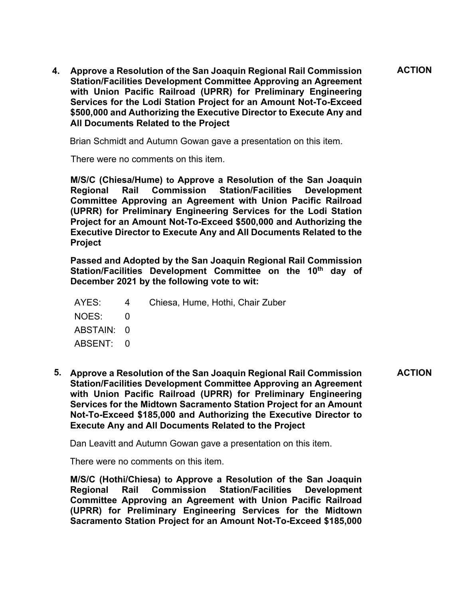**4. Approve a Resolution of the San Joaquin Regional Rail Commission Station/Facilities Development Committee Approving an Agreement with Union Pacific Railroad (UPRR) for Preliminary Engineering Services for the Lodi Station Project for an Amount Not-To-Exceed \$500,000 and Authorizing the Executive Director to Execute Any and All Documents Related to the Project ACTION**

Brian Schmidt and Autumn Gowan gave a presentation on this item.

There were no comments on this item.

**M/S/C (Chiesa/Hume) to Approve a Resolution of the San Joaquin Rail Commission Station/Facilities Development Committee Approving an Agreement with Union Pacific Railroad (UPRR) for Preliminary Engineering Services for the Lodi Station Project for an Amount Not-To-Exceed \$500,000 and Authorizing the Executive Director to Execute Any and All Documents Related to the Project**

**Passed and Adopted by the San Joaquin Regional Rail Commission**  Station/Facilities Development Committee on the 10<sup>th</sup> day of **December 2021 by the following vote to wit:**

|            | AYES: 4 Chiesa, Hume, Hothi, Chair Zuber |
|------------|------------------------------------------|
| NOES: 0    |                                          |
| ABSTAIN: 0 |                                          |
| ABSENT: 0  |                                          |

**5. Approve a Resolution of the San Joaquin Regional Rail Commission Station/Facilities Development Committee Approving an Agreement with Union Pacific Railroad (UPRR) for Preliminary Engineering Services for the Midtown Sacramento Station Project for an Amount Not-To-Exceed \$185,000 and Authorizing the Executive Director to Execute Any and All Documents Related to the Project ACTION**

Dan Leavitt and Autumn Gowan gave a presentation on this item.

There were no comments on this item.

**M/S/C (Hothi/Chiesa) to Approve a Resolution of the San Joaquin Regional Rail Commission Station/Facilities Development Committee Approving an Agreement with Union Pacific Railroad (UPRR) for Preliminary Engineering Services for the Midtown Sacramento Station Project for an Amount Not-To-Exceed \$185,000**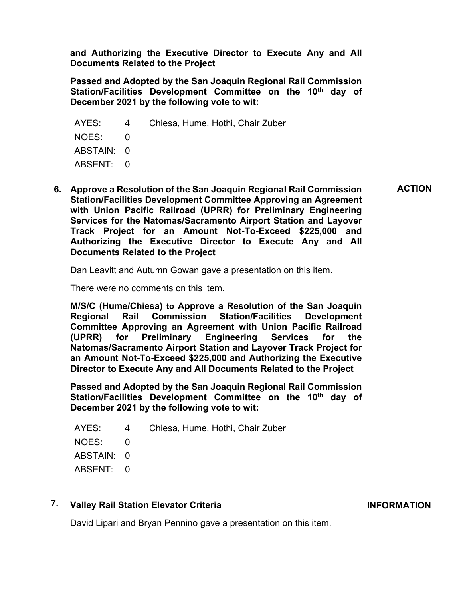**and Authorizing the Executive Director to Execute Any and All Documents Related to the Project**

**Passed and Adopted by the San Joaquin Regional Rail Commission**  Station/Facilities Development Committee on the 10<sup>th</sup> day of **December 2021 by the following vote to wit:**

AYES: 4 Chiesa, Hume, Hothi, Chair Zuber NOES: 0 ABSTAIN: 0 ABSENT: 0

**6. Approve a Resolution of the San Joaquin Regional Rail Commission Station/Facilities Development Committee Approving an Agreement with Union Pacific Railroad (UPRR) for Preliminary Engineering Services for the Natomas/Sacramento Airport Station and Layover Track Project for an Amount Not-To-Exceed \$225,000 and Authorizing the Executive Director to Execute Any and All Documents Related to the Project ACTION**

Dan Leavitt and Autumn Gowan gave a presentation on this item.

There were no comments on this item.

**M/S/C (Hume/Chiesa) to Approve a Resolution of the San Joaquin Regional Rail Commission Station/Facilities Development Committee Approving an Agreement with Union Pacific Railroad (UPRR) for Preliminary Engineering Services for the Natomas/Sacramento Airport Station and Layover Track Project for an Amount Not-To-Exceed \$225,000 and Authorizing the Executive Director to Execute Any and All Documents Related to the Project**

**Passed and Adopted by the San Joaquin Regional Rail Commission**  Station/Facilities Development Committee on the 10<sup>th</sup> day of **December 2021 by the following vote to wit:**

|            | AYES: 4 Chiesa, Hume, Hothi, Chair Zuber |
|------------|------------------------------------------|
| NOES: 0    |                                          |
| ABSTAIN: 0 |                                          |
| ABSENT: 0  |                                          |
|            |                                          |

### **7. Valley Rail Station Elevator Criteria**

**INFORMATION**

David Lipari and Bryan Pennino gave a presentation on this item.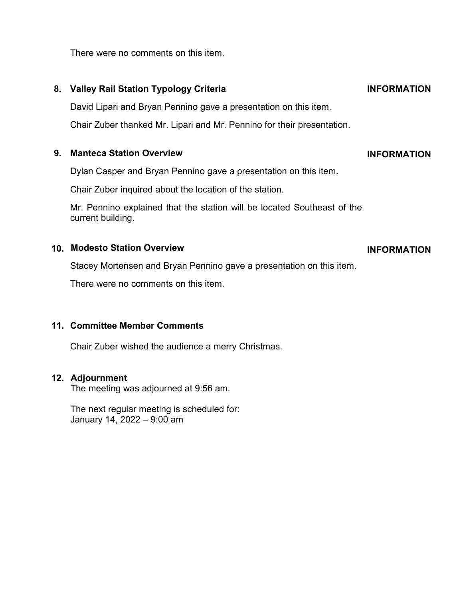There were no comments on this item.

# **8. Valley Rail Station Typology Criteria**

David Lipari and Bryan Pennino gave a presentation on this item.

Chair Zuber thanked Mr. Lipari and Mr. Pennino for their presentation.

### **9. Manteca Station Overview**

Dylan Casper and Bryan Pennino gave a presentation on this item.

Chair Zuber inquired about the location of the station.

Mr. Pennino explained that the station will be located Southeast of the current building.

### **10. Modesto Station Overview**

Stacey Mortensen and Bryan Pennino gave a presentation on this item.

There were no comments on this item.

### **11. Committee Member Comments**

Chair Zuber wished the audience a merry Christmas.

### **12. Adjournment**

The meeting was adjourned at 9:56 am.

The next regular meeting is scheduled for: January 14, 2022 – 9:00 am

## **INFORMATION**

**INFORMATION**

# **INFORMATION**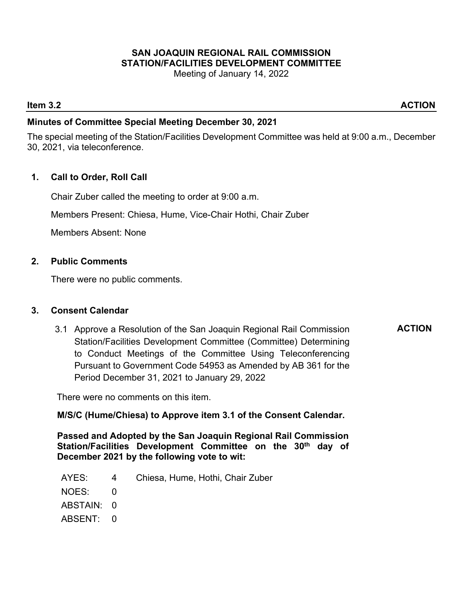# **SAN JOAQUIN REGIONAL RAIL COMMISSION STATION/FACILITIES DEVELOPMENT COMMITTEE**

Meeting of January 14, 2022

### **Item 3.2** ACTION

**ACTION**

### **Minutes of Committee Special Meeting December 30, 2021**

The special meeting of the Station/Facilities Development Committee was held at 9:00 a.m., December 30, 2021, via teleconference.

### **1. Call to Order, Roll Call**

Chair Zuber called the meeting to order at 9:00 a.m.

Members Present: Chiesa, Hume, Vice-Chair Hothi, Chair Zuber

Members Absent: None

### **2. Public Comments**

There were no public comments.

### **3. Consent Calendar**

3.1 Approve a Resolution of the San Joaquin Regional Rail Commission Station/Facilities Development Committee (Committee) Determining to Conduct Meetings of the Committee Using Teleconferencing Pursuant to Government Code 54953 as Amended by AB 361 for the Period December 31, 2021 to January 29, 2022

There were no comments on this item.

**M/S/C (Hume/Chiesa) to Approve item 3.1 of the Consent Calendar.** 

**Passed and Adopted by the San Joaquin Regional Rail Commission**  Station/Facilities Development Committee on the 30<sup>th</sup> day of **December 2021 by the following vote to wit:**

- AYES: 4 Chiesa, Hume, Hothi, Chair Zuber
- NOES: 0
- ABSTAIN: 0
- ABSENT: 0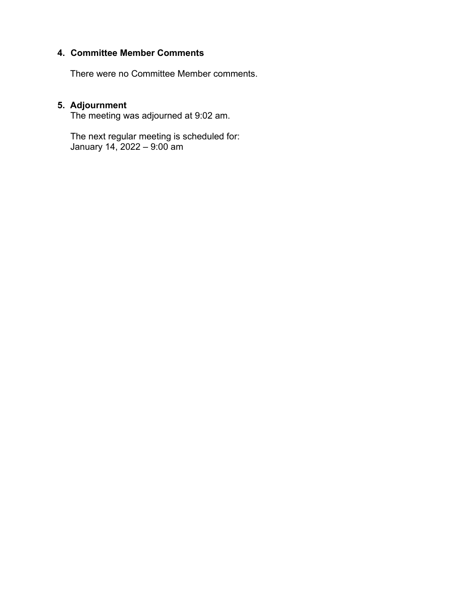### **4. Committee Member Comments**

There were no Committee Member comments.

## **5. Adjournment**

The meeting was adjourned at 9:02 am.

The next regular meeting is scheduled for: January 14, 2022 – 9:00 am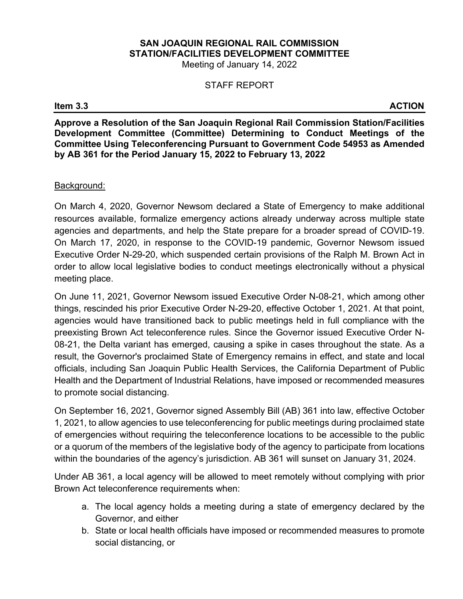# **SAN JOAQUIN REGIONAL RAIL COMMISSION STATION/FACILITIES DEVELOPMENT COMMITTEE**

Meeting of January 14, 2022

### STAFF REPORT

### **Item 3.3** ACTION

**Approve a Resolution of the San Joaquin Regional Rail Commission Station/Facilities Development Committee (Committee) Determining to Conduct Meetings of the Committee Using Teleconferencing Pursuant to Government Code 54953 as Amended by AB 361 for the Period January 15, 2022 to February 13, 2022**

### Background:

On March 4, 2020, Governor Newsom declared a State of Emergency to make additional resources available, formalize emergency actions already underway across multiple state agencies and departments, and help the State prepare for a broader spread of COVID-19. On March 17, 2020, in response to the COVID-19 pandemic, Governor Newsom issued Executive Order N-29-20, which suspended certain provisions of the Ralph M. Brown Act in order to allow local legislative bodies to conduct meetings electronically without a physical meeting place.

On June 11, 2021, Governor Newsom issued Executive Order N-08-21, which among other things, rescinded his prior Executive Order N-29-20, effective October 1, 2021. At that point, agencies would have transitioned back to public meetings held in full compliance with the preexisting Brown Act teleconference rules. Since the Governor issued Executive Order N-08-21, the Delta variant has emerged, causing a spike in cases throughout the state. As a result, the Governor's proclaimed State of Emergency remains in effect, and state and local officials, including San Joaquin Public Health Services, the California Department of Public Health and the Department of Industrial Relations, have imposed or recommended measures to promote social distancing.

On September 16, 2021, Governor signed Assembly Bill (AB) 361 into law, effective October 1, 2021, to allow agencies to use teleconferencing for public meetings during proclaimed state of emergencies without requiring the teleconference locations to be accessible to the public or a quorum of the members of the legislative body of the agency to participate from locations within the boundaries of the agency's jurisdiction. AB 361 will sunset on January 31, 2024.

Under AB 361, a local agency will be allowed to meet remotely without complying with prior Brown Act teleconference requirements when:

- a. The local agency holds a meeting during a state of emergency declared by the Governor, and either
- b. State or local health officials have imposed or recommended measures to promote social distancing, or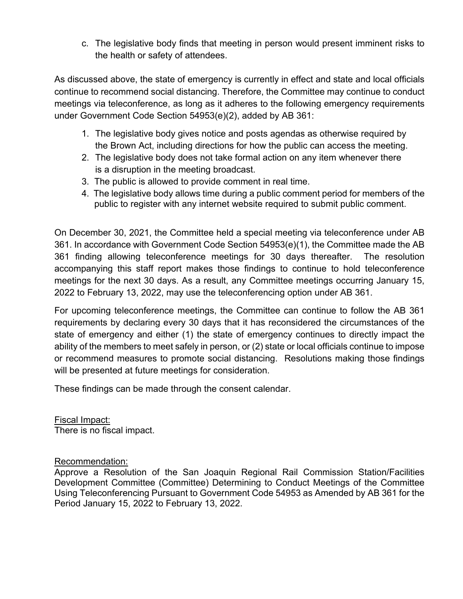c. The legislative body finds that meeting in person would present imminent risks to the health or safety of attendees.

As discussed above, the state of emergency is currently in effect and state and local officials continue to recommend social distancing. Therefore, the Committee may continue to conduct meetings via teleconference, as long as it adheres to the following emergency requirements under Government Code Section 54953(e)(2), added by AB 361:

- 1. The legislative body gives notice and posts agendas as otherwise required by the Brown Act, including directions for how the public can access the meeting.
- 2. The legislative body does not take formal action on any item whenever there is a disruption in the meeting broadcast.
- 3. The public is allowed to provide comment in real time.
- 4. The legislative body allows time during a public comment period for members of the public to register with any internet website required to submit public comment.

On December 30, 2021, the Committee held a special meeting via teleconference under AB 361. In accordance with Government Code Section 54953(e)(1), the Committee made the AB 361 finding allowing teleconference meetings for 30 days thereafter. The resolution accompanying this staff report makes those findings to continue to hold teleconference meetings for the next 30 days. As a result, any Committee meetings occurring January 15, 2022 to February 13, 2022, may use the teleconferencing option under AB 361.

For upcoming teleconference meetings, the Committee can continue to follow the AB 361 requirements by declaring every 30 days that it has reconsidered the circumstances of the state of emergency and either (1) the state of emergency continues to directly impact the ability of the members to meet safely in person, or (2) state or local officials continue to impose or recommend measures to promote social distancing. Resolutions making those findings will be presented at future meetings for consideration.

These findings can be made through the consent calendar.

Fiscal Impact: There is no fiscal impact.

### Recommendation:

Approve a Resolution of the San Joaquin Regional Rail Commission Station/Facilities Development Committee (Committee) Determining to Conduct Meetings of the Committee Using Teleconferencing Pursuant to Government Code 54953 as Amended by AB 361 for the Period January 15, 2022 to February 13, 2022.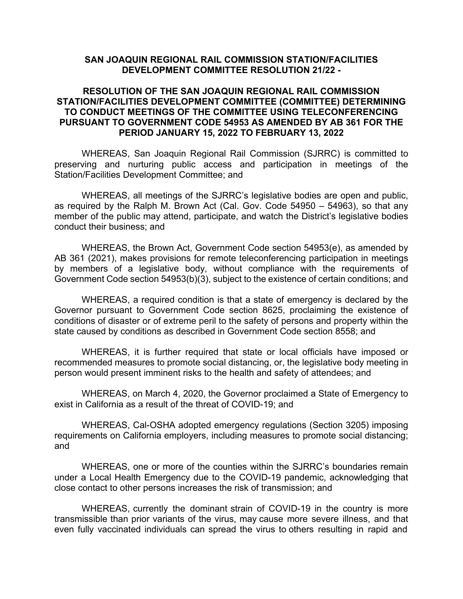### **SAN JOAQUIN REGIONAL RAIL COMMISSION STATION/FACILITIES DEVELOPMENT COMMITTEE RESOLUTION 21/22 -**

### **RESOLUTION OF THE SAN JOAQUIN REGIONAL RAIL COMMISSION STATION/FACILITIES DEVELOPMENT COMMITTEE (COMMITTEE) DETERMINING TO CONDUCT MEETINGS OF THE COMMITTEE USING TELECONFERENCING PURSUANT TO GOVERNMENT CODE 54953 AS AMENDED BY AB 361 FOR THE PERIOD JANUARY 15, 2022 TO FEBRUARY 13, 2022**

WHEREAS, San Joaquin Regional Rail Commission (SJRRC) is committed to preserving and nurturing public access and participation in meetings of the Station/Facilities Development Committee; and

WHEREAS, all meetings of the SJRRC's legislative bodies are open and public, as required by the Ralph M. Brown Act (Cal. Gov. Code 54950 – 54963), so that any member of the public may attend, participate, and watch the District's legislative bodies conduct their business; and

WHEREAS, the Brown Act, Government Code section 54953(e), as amended by AB 361 (2021), makes provisions for remote teleconferencing participation in meetings by members of a legislative body, without compliance with the requirements of Government Code section 54953(b)(3), subject to the existence of certain conditions; and

WHEREAS, a required condition is that a state of emergency is declared by the Governor pursuant to Government Code section 8625, proclaiming the existence of conditions of disaster or of extreme peril to the safety of persons and property within the state caused by conditions as described in Government Code section 8558; and

WHEREAS, it is further required that state or local officials have imposed or recommended measures to promote social distancing, or, the legislative body meeting in person would present imminent risks to the health and safety of attendees; and

WHEREAS, on March 4, 2020, the Governor proclaimed a State of Emergency to exist in California as a result of the threat of COVID-19; and

WHEREAS, Cal-OSHA adopted emergency regulations (Section 3205) imposing requirements on California employers, including measures to promote social distancing; and

WHEREAS, one or more of the counties within the SJRRC's boundaries remain under a Local Health Emergency due to the COVID-19 pandemic, acknowledging that close contact to other persons increases the risk of transmission; and

WHEREAS, currently the dominant strain of COVID-19 in the country is more transmissible than prior variants of the virus, may cause more severe illness, and that even fully vaccinated individuals can spread the virus to others resulting in rapid and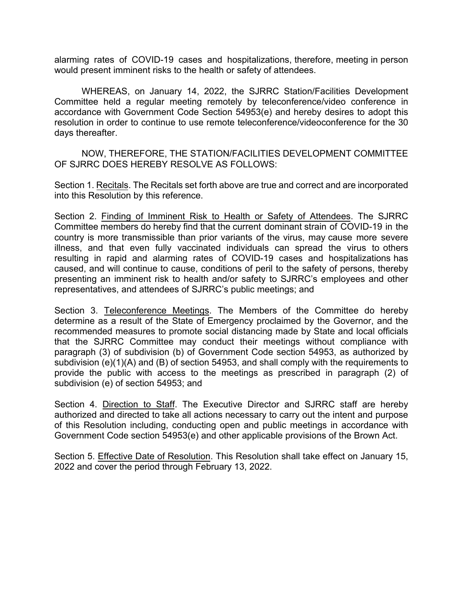alarming rates of COVID-19 cases and hospitalizations, therefore, meeting in person would present imminent risks to the health or safety of attendees.

WHEREAS, on January 14, 2022, the SJRRC Station/Facilities Development Committee held a regular meeting remotely by teleconference/video conference in accordance with Government Code Section 54953(e) and hereby desires to adopt this resolution in order to continue to use remote teleconference/videoconference for the 30 days thereafter.

NOW, THEREFORE, THE STATION/FACILITIES DEVELOPMENT COMMITTEE OF SJRRC DOES HEREBY RESOLVE AS FOLLOWS:

Section 1. Recitals. The Recitals set forth above are true and correct and are incorporated into this Resolution by this reference.

Section 2. Finding of Imminent Risk to Health or Safety of Attendees. The SJRRC Committee members do hereby find that the current dominant strain of COVID-19 in the country is more transmissible than prior variants of the virus, may cause more severe illness, and that even fully vaccinated individuals can spread the virus to others resulting in rapid and alarming rates of COVID-19 cases and hospitalizations has caused, and will continue to cause, conditions of peril to the safety of persons, thereby presenting an imminent risk to health and/or safety to SJRRC's employees and other representatives, and attendees of SJRRC's public meetings; and

Section 3. Teleconference Meetings. The Members of the Committee do hereby determine as a result of the State of Emergency proclaimed by the Governor, and the recommended measures to promote social distancing made by State and local officials that the SJRRC Committee may conduct their meetings without compliance with paragraph (3) of subdivision (b) of Government Code section 54953, as authorized by subdivision (e)(1)(A) and (B) of section 54953, and shall comply with the requirements to provide the public with access to the meetings as prescribed in paragraph (2) of subdivision (e) of section 54953; and

Section 4. Direction to Staff. The Executive Director and SJRRC staff are hereby authorized and directed to take all actions necessary to carry out the intent and purpose of this Resolution including, conducting open and public meetings in accordance with Government Code section 54953(e) and other applicable provisions of the Brown Act.

Section 5. Effective Date of Resolution. This Resolution shall take effect on January 15, 2022 and cover the period through February 13, 2022.